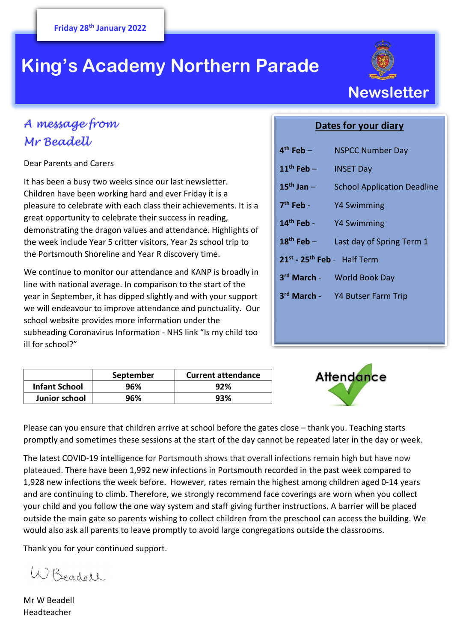# **King's Academy Northern Parade**



# *A message from Mr Beadell*

Dear Parents and Carers

It has been a busy two weeks since our last newsletter. Children have been working hard and ever Friday it is a pleasure to celebrate with each class their achievements. It is a great opportunity to celebrate their success in reading, demonstrating the dragon values and attendance. Highlights of the week include Year 5 critter visitors, Year 2s school trip to the Portsmouth Shoreline and Year R discovery time.

We continue to monitor our attendance and KANP is broadly in line with national average. In comparison to the start of the year in September, it has dipped slightly and with your support we will endeavour to improve attendance and punctuality. Our school website provides more information under the subheading Coronavirus Information - NHS link "Is my child too ill for school?"

| Dates for your diary |
|----------------------|
|----------------------|

| 4 <sup>th</sup> Feb –                   | <b>NSPCC Number Day</b>            |  |
|-----------------------------------------|------------------------------------|--|
| $11th$ Feb –                            | <b>INSET Day</b>                   |  |
| $15th$ Jan -                            | <b>School Application Deadline</b> |  |
| $7th$ Feb -                             | <b>Y4 Swimming</b>                 |  |
| $14th$ Feb -                            | <b>Y4 Swimming</b>                 |  |
| $18th$ Feb –                            | Last day of Spring Term 1          |  |
| 21st - 25 <sup>th</sup> Feb - Half Term |                                    |  |
|                                         | 3rd March - World Book Day         |  |
|                                         | 3rd March - Y4 Butser Farm Trip    |  |
|                                         |                                    |  |

|                      | September | <b>Current attendance</b> |
|----------------------|-----------|---------------------------|
| <b>Infant School</b> | 96%       | 92%                       |
| Junior school        | 96%       | 93%                       |



Please can you ensure that children arrive at school before the gates close – thank you. Teaching starts promptly and sometimes these sessions at the start of the day cannot be repeated later in the day or week.

The latest COVID-19 intelligence for Portsmouth shows that overall infections remain high but have now plateaued. There have been 1,992 new infections in Portsmouth recorded in the past week compared to 1,928 new infections the week before. However, rates remain the highest among children aged 0-14 years and are continuing to climb. Therefore, we strongly recommend face coverings are worn when you collect your child and you follow the one way system and staff giving further instructions. A barrier will be placed outside the main gate so parents wishing to collect children from the preschool can access the building. We would also ask all parents to leave promptly to avoid large congregations outside the classrooms.

Thank you for your continued support.

W Beadell

Mr W Beadell Headteacher